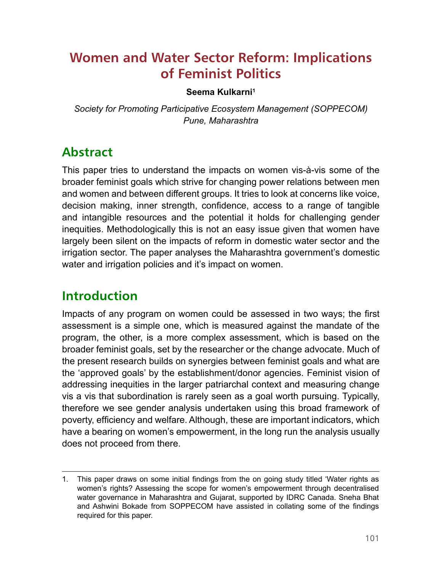# **Women and Water Sector Reform: Implications of Feminist Politics**

#### **Seema Kulkarni1**

*Society for Promoting Participative Ecosystem Management (SOPPECOM) Pune, Maharashtra* 

# **Abstract**

This paper tries to understand the impacts on women vis-à-vis some of the broader feminist goals which strive for changing power relations between men and women and between different groups. It tries to look at concerns like voice, decision making, inner strength, confidence, access to a range of tangible and intangible resources and the potential it holds for challenging gender inequities. Methodologically this is not an easy issue given that women have largely been silent on the impacts of reform in domestic water sector and the irrigation sector. The paper analyses the Maharashtra government's domestic water and irrigation policies and it's impact on women.

### **Introduction**

Impacts of any program on women could be assessed in two ways; the first assessment is a simple one, which is measured against the mandate of the program, the other, is a more complex assessment, which is based on the broader feminist goals, set by the researcher or the change advocate. Much of the present research builds on synergies between feminist goals and what are the 'approved goals' by the establishment/donor agencies. Feminist vision of addressing inequities in the larger patriarchal context and measuring change vis a vis that subordination is rarely seen as a goal worth pursuing. Typically, therefore we see gender analysis undertaken using this broad framework of poverty, efficiency and welfare. Although, these are important indicators, which have a bearing on women's empowerment, in the long run the analysis usually does not proceed from there.

<sup>1.</sup> This paper draws on some initial fndings from the on going study titled 'Water rights as women's rights? Assessing the scope for women's empowerment through decentralised water governance in Maharashtra and Gujarat, supported by IDRC Canada. Sneha Bhat and Ashwini Bokade from SOPPECOM have assisted in collating some of the fndings required for this paper.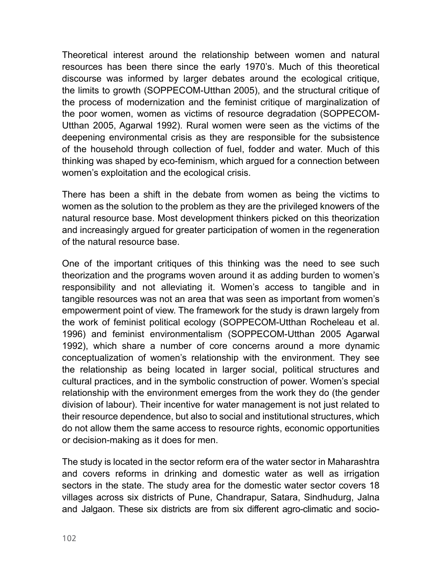Theoretical interest around the relationship between women and natural resources has been there since the early 1970's. Much of this theoretical discourse was informed by larger debates around the ecological critique, the limits to growth (SOPPECOM-Utthan 2005), and the structural critique of the process of modernization and the feminist critique of marginalization of the poor women, women as victims of resource degradation (SOPPECOM-Utthan 2005, Agarwal 1992). Rural women were seen as the victims of the deepening environmental crisis as they are responsible for the subsistence of the household through collection of fuel, fodder and water. Much of this thinking was shaped by eco-feminism, which argued for a connection between women's exploitation and the ecological crisis.

There has been a shift in the debate from women as being the victims to women as the solution to the problem as they are the privileged knowers of the natural resource base. Most development thinkers picked on this theorization and increasingly argued for greater participation of women in the regeneration of the natural resource base.

One of the important critiques of this thinking was the need to see such theorization and the programs woven around it as adding burden to women's responsibility and not alleviating it. Women's access to tangible and in tangible resources was not an area that was seen as important from women's empowerment point of view. The framework for the study is drawn largely from the work of feminist political ecology (SOPPECOM-Utthan Rocheleau et al. 1996) and feminist environmentalism (SOPPECOM-Utthan 2005 Agarwal 1992), which share a number of core concerns around a more dynamic conceptualization of women's relationship with the environment. They see the relationship as being located in larger social, political structures and cultural practices, and in the symbolic construction of power. Women's special relationship with the environment emerges from the work they do (the gender division of labour). Their incentive for water management is not just related to their resource dependence, but also to social and institutional structures, which do not allow them the same access to resource rights, economic opportunities or decision-making as it does for men.

The study is located in the sector reform era of the water sector in Maharashtra and covers reforms in drinking and domestic water as well as irrigation sectors in the state. The study area for the domestic water sector covers 18 villages across six districts of Pune, Chandrapur, Satara, Sindhudurg, Jalna and Jalgaon. These six districts are from six different agro-climatic and socio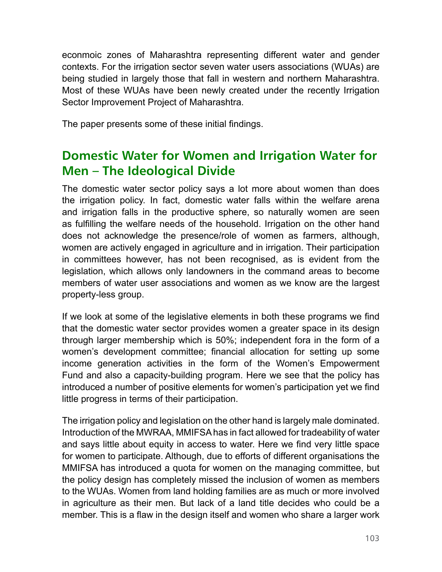econmoic zones of Maharashtra representing different water and gender contexts. For the irrigation sector seven water users associations (WUAs) are being studied in largely those that fall in western and northern Maharashtra. Most of these WUAs have been newly created under the recently Irrigation Sector Improvement Project of Maharashtra.

The paper presents some of these initial findings.

# **Domestic Water for Women and Irrigation Water for Men – The Ideological Divide**

The domestic water sector policy says a lot more about women than does the irrigation policy. In fact, domestic water falls within the welfare arena and irrigation falls in the productive sphere, so naturally women are seen as fulflling the welfare needs of the household. Irrigation on the other hand does not acknowledge the presence/role of women as farmers, although, women are actively engaged in agriculture and in irrigation. Their participation in committees however, has not been recognised, as is evident from the legislation, which allows only landowners in the command areas to become members of water user associations and women as we know are the largest property-less group.

If we look at some of the legislative elements in both these programs we fnd that the domestic water sector provides women a greater space in its design through larger membership which is 50%; independent fora in the form of a women's development committee; fnancial allocation for setting up some income generation activities in the form of the Women's Empowerment Fund and also a capacity-building program. Here we see that the policy has introduced a number of positive elements for women's participation yet we fnd little progress in terms of their participation.

The irrigation policy and legislation on the other hand is largely male dominated. Introduction of the MWRAA, MMIFSA has in fact allowed for tradeability of water and says little about equity in access to water. Here we fnd very little space for women to participate. Although, due to efforts of different organisations the MMIFSA has introduced a quota for women on the managing committee, but the policy design has completely missed the inclusion of women as members to the WUAs. Women from land holding families are as much or more involved in agriculture as their men. But lack of a land title decides who could be a member. This is a flaw in the design itself and women who share a larger work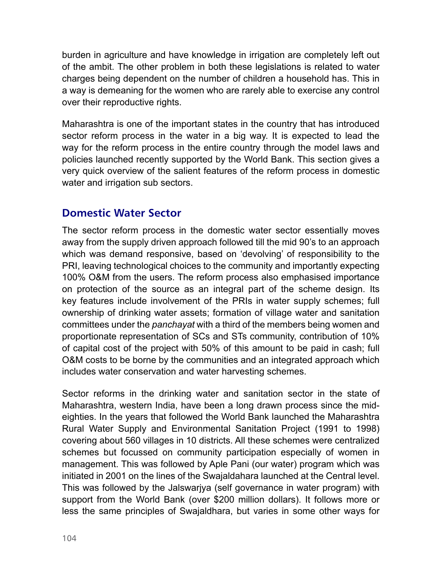burden in agriculture and have knowledge in irrigation are completely left out of the ambit. The other problem in both these legislations is related to water charges being dependent on the number of children a household has. This in a way is demeaning for the women who are rarely able to exercise any control over their reproductive rights.

Maharashtra is one of the important states in the country that has introduced sector reform process in the water in a big way. It is expected to lead the way for the reform process in the entire country through the model laws and policies launched recently supported by the World Bank. This section gives a very quick overview of the salient features of the reform process in domestic water and irrigation sub sectors.

#### **Domestic Water Sector**

The sector reform process in the domestic water sector essentially moves away from the supply driven approach followed till the mid 90's to an approach which was demand responsive, based on 'devolving' of responsibility to the PRI, leaving technological choices to the community and importantly expecting 100% O&M from the users. The reform process also emphasised importance on protection of the source as an integral part of the scheme design. Its key features include involvement of the PRIs in water supply schemes; full ownership of drinking water assets; formation of village water and sanitation committees under the *panchayat* with a third of the members being women and proportionate representation of SCs and STs community, contribution of 10% of capital cost of the project with 50% of this amount to be paid in cash; full O&M costs to be borne by the communities and an integrated approach which includes water conservation and water harvesting schemes.

Sector reforms in the drinking water and sanitation sector in the state of Maharashtra, western India, have been a long drawn process since the mideighties. In the years that followed the World Bank launched the Maharashtra Rural Water Supply and Environmental Sanitation Project (1991 to 1998) covering about 560 villages in 10 districts. All these schemes were centralized schemes but focussed on community participation especially of women in management. This was followed by Aple Pani (our water) program which was initiated in 2001 on the lines of the Swajaldahara launched at the Central level. This was followed by the Jalswarjya (self governance in water program) with support from the World Bank (over \$200 million dollars). It follows more or less the same principles of Swajaldhara, but varies in some other ways for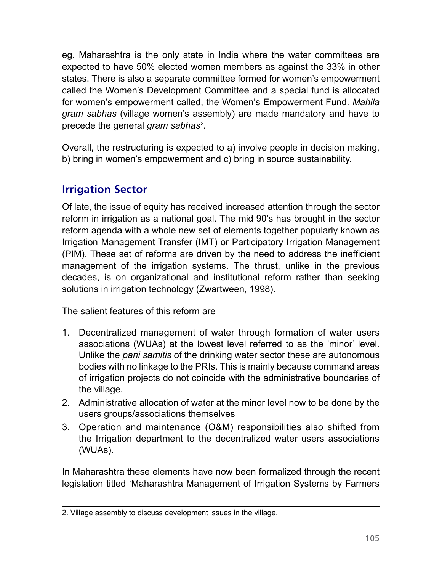eg. Maharashtra is the only state in India where the water committees are expected to have 50% elected women members as against the 33% in other states. There is also a separate committee formed for women's empowerment called the Women's Development Committee and a special fund is allocated for women's empowerment called, the Women's Empowerment Fund. *Mahila gram sabhas* (village women's assembly) are made mandatory and have to precede the general *gram sabhas<sup>2</sup>*.

Overall, the restructuring is expected to a) involve people in decision making, b) bring in women's empowerment and c) bring in source sustainability.

### **Irrigation Sector**

Of late, the issue of equity has received increased attention through the sector reform in irrigation as a national goal. The mid 90's has brought in the sector reform agenda with a whole new set of elements together popularly known as Irrigation Management Transfer (IMT) or Participatory Irrigation Management (PIM). These set of reforms are driven by the need to address the ineffcient management of the irrigation systems. The thrust, unlike in the previous decades, is on organizational and institutional reform rather than seeking solutions in irrigation technology (Zwartween, 1998).

The salient features of this reform are

- 1. Decentralized management of water through formation of water users associations (WUAs) at the lowest level referred to as the 'minor' level. Unlike the *pani samitis* of the drinking water sector these are autonomous bodies with no linkage to the PRIs. This is mainly because command areas of irrigation projects do not coincide with the administrative boundaries of the village.
- 2. Administrative allocation of water at the minor level now to be done by the users groups/associations themselves
- 3. Operation and maintenance (O&M) responsibilities also shifted from the Irrigation department to the decentralized water users associations (WUAs).

In Maharashtra these elements have now been formalized through the recent legislation titled 'Maharashtra Management of Irrigation Systems by Farmers

<sup>2.</sup> Village assembly to discuss development issues in the village.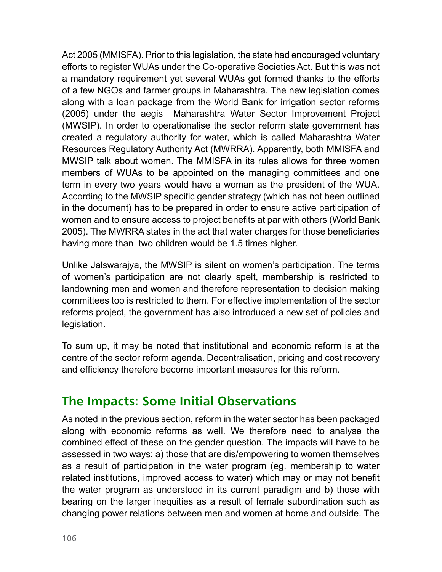Act 2005 (MMISFA). Prior to this legislation, the state had encouraged voluntary efforts to register WUAs under the Co-operative Societies Act. But this was not a mandatory requirement yet several WUAs got formed thanks to the efforts of a few NGOs and farmer groups in Maharashtra. The new legislation comes along with a loan package from the World Bank for irrigation sector reforms (2005) under the aegis Maharashtra Water Sector Improvement Project (MWSIP). In order to operationalise the sector reform state government has created a regulatory authority for water, which is called Maharashtra Water Resources Regulatory Authority Act (MWRRA). Apparently, both MMISFA and MWSIP talk about women. The MMISFA in its rules allows for three women members of WUAs to be appointed on the managing committees and one term in every two years would have a woman as the president of the WUA. According to the MWSIP specifc gender strategy (which has not been outlined in the document) has to be prepared in order to ensure active participation of women and to ensure access to project benefts at par with others (World Bank 2005). The MWRRA states in the act that water charges for those beneficiaries having more than two children would be 1.5 times higher.

Unlike Jalswarajya, the MWSIP is silent on women's participation. The terms of women's participation are not clearly spelt, membership is restricted to landowning men and women and therefore representation to decision making committees too is restricted to them. For effective implementation of the sector reforms project, the government has also introduced a new set of policies and legislation.

To sum up, it may be noted that institutional and economic reform is at the centre of the sector reform agenda. Decentralisation, pricing and cost recovery and efficiency therefore become important measures for this reform.

### **The Impacts: Some Initial Observations**

As noted in the previous section, reform in the water sector has been packaged along with economic reforms as well. We therefore need to analyse the combined effect of these on the gender question. The impacts will have to be assessed in two ways: a) those that are dis/empowering to women themselves as a result of participation in the water program (eg. membership to water related institutions, improved access to water) which may or may not beneft the water program as understood in its current paradigm and b) those with bearing on the larger inequities as a result of female subordination such as changing power relations between men and women at home and outside. The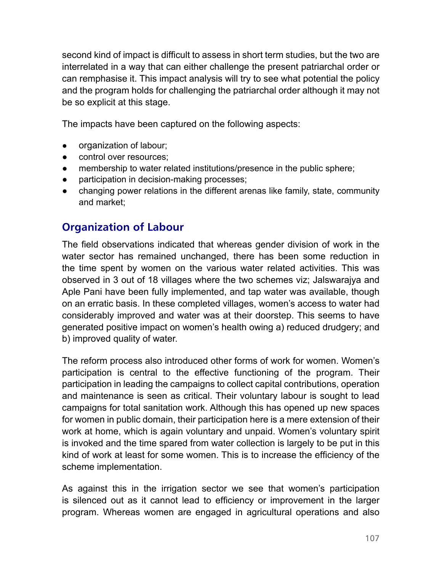second kind of impact is difficult to assess in short term studies, but the two are interrelated in a way that can either challenge the present patriarchal order or can remphasise it. This impact analysis will try to see what potential the policy and the program holds for challenging the patriarchal order although it may not be so explicit at this stage.

The impacts have been captured on the following aspects:

- organization of labour;
- control over resources:
- membership to water related institutions/presence in the public sphere;
- participation in decision-making processes;
- **●** changing power relations in the different arenas like family, state, community and market;

#### **Organization of Labour**

The field observations indicated that whereas gender division of work in the water sector has remained unchanged, there has been some reduction in the time spent by women on the various water related activities. This was observed in 3 out of 18 villages where the two schemes viz; Jalswarajya and Aple Pani have been fully implemented, and tap water was available, though on an erratic basis. In these completed villages, women's access to water had considerably improved and water was at their doorstep. This seems to have generated positive impact on women's health owing a) reduced drudgery; and b) improved quality of water.

The reform process also introduced other forms of work for women. Women's participation is central to the effective functioning of the program. Their participation in leading the campaigns to collect capital contributions, operation and maintenance is seen as critical. Their voluntary labour is sought to lead campaigns for total sanitation work. Although this has opened up new spaces for women in public domain, their participation here is a mere extension of their work at home, which is again voluntary and unpaid. Women's voluntary spirit is invoked and the time spared from water collection is largely to be put in this kind of work at least for some women. This is to increase the efficiency of the scheme implementation.

As against this in the irrigation sector we see that women's participation is silenced out as it cannot lead to efficiency or improvement in the larger program. Whereas women are engaged in agricultural operations and also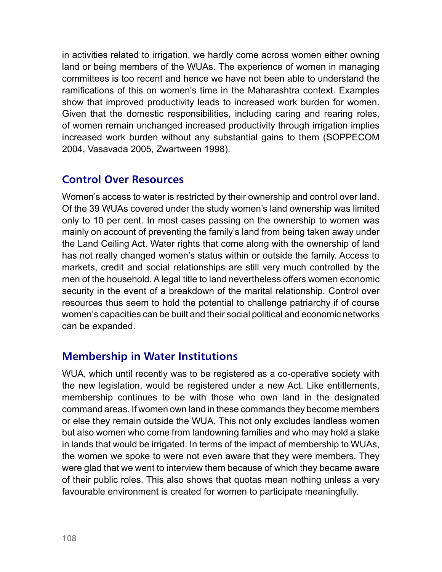in activities related to irrigation, we hardly come across women either owning land or being members of the WUAs. The experience of women in managing committees is too recent and hence we have not been able to understand the ramifcations of this on women's time in the Maharashtra context. Examples show that improved productivity leads to increased work burden for women. Given that the domestic responsibilities, including caring and rearing roles, of women remain unchanged increased productivity through irrigation implies increased work burden without any substantial gains to them (SOPPECOM 2004, Vasavada 2005, Zwartween 1998).

#### **Control Over Resources**

Women's access to water is restricted by their ownership and control over land. Of the 39 WUAs covered under the study women's land ownership was limited only to 10 per cent. In most cases passing on the ownership to women was mainly on account of preventing the family's land from being taken away under the Land Ceiling Act. Water rights that come along with the ownership of land has not really changed women's status within or outside the family. Access to markets, credit and social relationships are still very much controlled by the men of the household. A legal title to land nevertheless offers women economic security in the event of a breakdown of the marital relationship. Control over resources thus seem to hold the potential to challenge patriarchy if of course women's capacities can be built and their social political and economic networks can be expanded.

#### **Membership in Water Institutions**

WUA, which until recently was to be registered as a co-operative society with the new legislation, would be registered under a new Act. Like entitlements, membership continues to be with those who own land in the designated command areas. If women own land in these commands they become members or else they remain outside the WUA. This not only excludes landless women but also women who come from landowning families and who may hold a stake in lands that would be irrigated. In terms of the impact of membership to WUAs, the women we spoke to were not even aware that they were members. They were glad that we went to interview them because of which they became aware of their public roles. This also shows that quotas mean nothing unless a very favourable environment is created for women to participate meaningfully.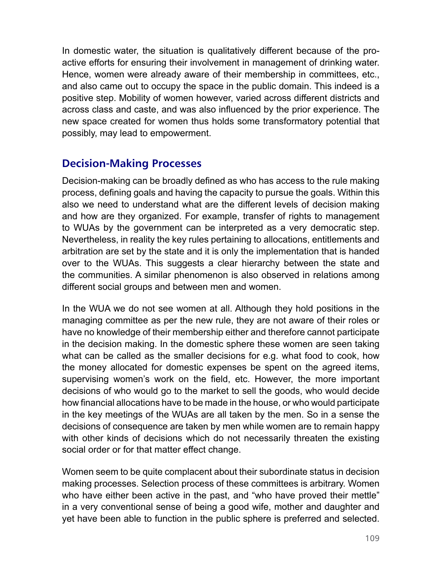In domestic water, the situation is qualitatively different because of the proactive efforts for ensuring their involvement in management of drinking water. Hence, women were already aware of their membership in committees, etc., and also came out to occupy the space in the public domain. This indeed is a positive step. Mobility of women however, varied across different districts and across class and caste, and was also influenced by the prior experience. The new space created for women thus holds some transformatory potential that possibly, may lead to empowerment.

#### **Decision-Making Processes**

Decision-making can be broadly defned as who has access to the rule making process, defning goals and having the capacity to pursue the goals. Within this also we need to understand what are the different levels of decision making and how are they organized. For example, transfer of rights to management to WUAs by the government can be interpreted as a very democratic step. Nevertheless, in reality the key rules pertaining to allocations, entitlements and arbitration are set by the state and it is only the implementation that is handed over to the WUAs. This suggests a clear hierarchy between the state and the communities. A similar phenomenon is also observed in relations among different social groups and between men and women.

In the WUA we do not see women at all. Although they hold positions in the managing committee as per the new rule, they are not aware of their roles or have no knowledge of their membership either and therefore cannot participate in the decision making. In the domestic sphere these women are seen taking what can be called as the smaller decisions for e.g. what food to cook, how the money allocated for domestic expenses be spent on the agreed items, supervising women's work on the field, etc. However, the more important decisions of who would go to the market to sell the goods, who would decide how fnancial allocations have to be made in the house, or who would participate in the key meetings of the WUAs are all taken by the men. So in a sense the decisions of consequence are taken by men while women are to remain happy with other kinds of decisions which do not necessarily threaten the existing social order or for that matter effect change.

Women seem to be quite complacent about their subordinate status in decision making processes. Selection process of these committees is arbitrary. Women who have either been active in the past, and "who have proved their mettle" in a very conventional sense of being a good wife, mother and daughter and yet have been able to function in the public sphere is preferred and selected.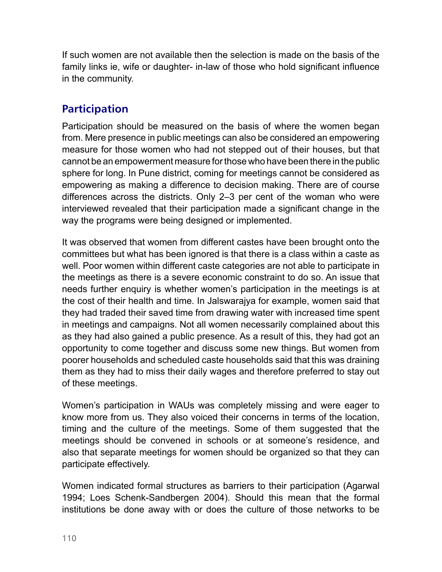If such women are not available then the selection is made on the basis of the family links ie, wife or daughter- in-law of those who hold significant influence in the community.

#### **Participation**

Participation should be measured on the basis of where the women began from. Mere presence in public meetings can also be considered an empowering measure for those women who had not stepped out of their houses, but that cannot be an empowerment measure for those who have been there in the public sphere for long. In Pune district, coming for meetings cannot be considered as empowering as making a difference to decision making. There are of course differences across the districts. Only 2–3 per cent of the woman who were interviewed revealed that their participation made a signifcant change in the way the programs were being designed or implemented.

It was observed that women from different castes have been brought onto the committees but what has been ignored is that there is a class within a caste as well. Poor women within different caste categories are not able to participate in the meetings as there is a severe economic constraint to do so. An issue that needs further enquiry is whether women's participation in the meetings is at the cost of their health and time. In Jalswarajya for example, women said that they had traded their saved time from drawing water with increased time spent in meetings and campaigns. Not all women necessarily complained about this as they had also gained a public presence. As a result of this, they had got an opportunity to come together and discuss some new things. But women from poorer households and scheduled caste households said that this was draining them as they had to miss their daily wages and therefore preferred to stay out of these meetings.

Women's participation in WAUs was completely missing and were eager to know more from us. They also voiced their concerns in terms of the location, timing and the culture of the meetings. Some of them suggested that the meetings should be convened in schools or at someone's residence, and also that separate meetings for women should be organized so that they can participate effectively.

Women indicated formal structures as barriers to their participation (Agarwal 1994; Loes Schenk-Sandbergen 2004). Should this mean that the formal institutions be done away with or does the culture of those networks to be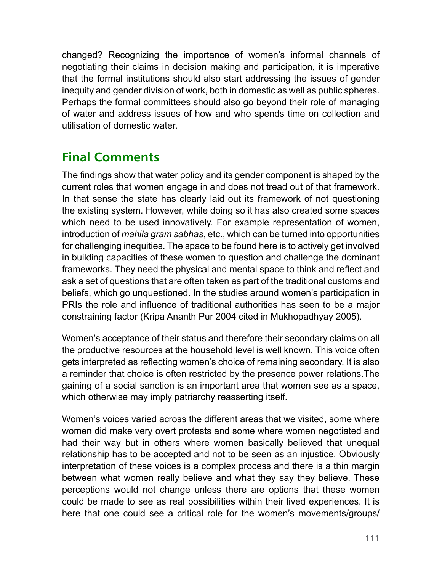changed? Recognizing the importance of women's informal channels of negotiating their claims in decision making and participation, it is imperative that the formal institutions should also start addressing the issues of gender inequity and gender division of work, both in domestic as well as public spheres. Perhaps the formal committees should also go beyond their role of managing of water and address issues of how and who spends time on collection and utilisation of domestic water.

# **Final Comments**

The fndings show that water policy and its gender component is shaped by the current roles that women engage in and does not tread out of that framework. In that sense the state has clearly laid out its framework of not questioning the existing system. However, while doing so it has also created some spaces which need to be used innovatively. For example representation of women, introduction of *mahila gram sabhas*, etc., which can be turned into opportunities for challenging inequities. The space to be found here is to actively get involved in building capacities of these women to question and challenge the dominant frameworks. They need the physical and mental space to think and reflect and ask a set of questions that are often taken as part of the traditional customs and beliefs, which go unquestioned. In the studies around women's participation in PRIs the role and influence of traditional authorities has seen to be a major constraining factor (Kripa Ananth Pur 2004 cited in Mukhopadhyay 2005).

Women's acceptance of their status and therefore their secondary claims on all the productive resources at the household level is well known. This voice often gets interpreted as reflecting women's choice of remaining secondary. It is also a reminder that choice is often restricted by the presence power relations.The gaining of a social sanction is an important area that women see as a space, which otherwise may imply patriarchy reasserting itself.

Women's voices varied across the different areas that we visited, some where women did make very overt protests and some where women negotiated and had their way but in others where women basically believed that unequal relationship has to be accepted and not to be seen as an injustice. Obviously interpretation of these voices is a complex process and there is a thin margin between what women really believe and what they say they believe. These perceptions would not change unless there are options that these women could be made to see as real possibilities within their lived experiences. It is here that one could see a critical role for the women's movements/groups/